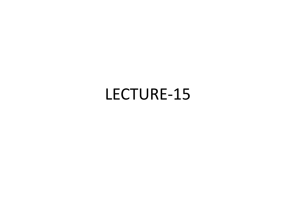# LECTURE-15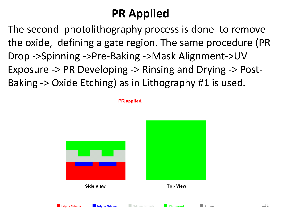## **PR Applied**

The second photolithography process is done to remove the oxide, defining a gate region. The same procedure (PR Drop ->Spinning ->Pre-Baking ->Mask Alignment->UV Exposure -> PR Developing -> Rinsing and Drying -> Post-Baking -> Oxide Etching) as in Lithography #1 is used.

PR applied.

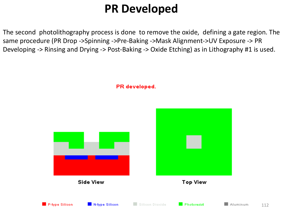## **PR Developed**

The second photolithography process is done to remove the oxide, defining a gate region. The same procedure (PR Drop ->Spinning ->Pre-Baking ->Mask Alignment->UV Exposure -> PR Developing -> Rinsing and Drying -> Post-Baking -> Oxide Etching) as in Lithography #1 is used.

PR developed.

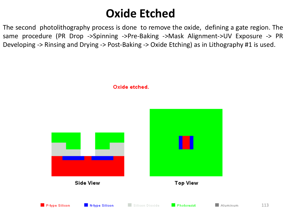## **Oxide Etched**

The second photolithography process is done to remove the oxide, defining a gate region. The same procedure (PR Drop ->Spinning ->Pre-Baking ->Mask Alignment->UV Exposure -> PR Developing -> Rinsing and Drying -> Post-Baking -> Oxide Etching) as in Lithography #1 is used.



Oxide etched.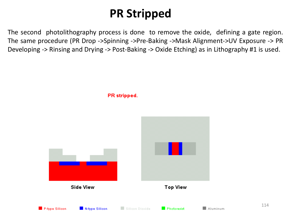## **PR Stripped**

The second photolithography process is done to remove the oxide, defining a gate region. The same procedure (PR Drop ->Spinning ->Pre-Baking ->Mask Alignment->UV Exposure -> PR Developing -> Rinsing and Drying -> Post-Baking -> Oxide Etching) as in Lithography #1 is used.





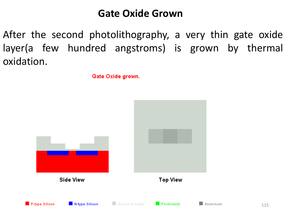### **Gate Oxide Grown**

After the second photolithography, a very thin gate oxide layer(a few hundred angstroms) is grown by thermal oxidation.

Gate Oxide grown.



115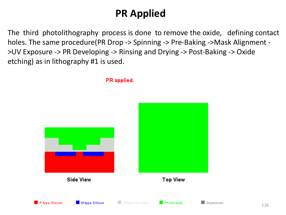### **PR Applied**

The third photolithography process is done to remove the oxide, defining contact holes. The same procedure(PR Drop -> Spinning -> Pre-Baking ->Mask Alignment - >UV Exposure -> PR Developing -> Rinsing and Drying -> Post-Baking -> Oxide etching) as in lithography #1 is used.



PR applied.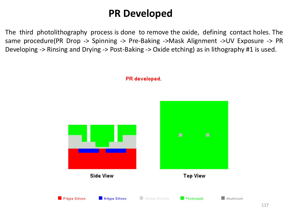### **PR Developed**

The third photolithography process is done to remove the oxide, defining contact holes. The same procedure(PR Drop -> Spinning -> Pre-Baking ->Mask Alignment ->UV Exposure -> PR Developing -> Rinsing and Drying -> Post-Baking -> Oxide etching) as in lithography #1 is used.



PR developed.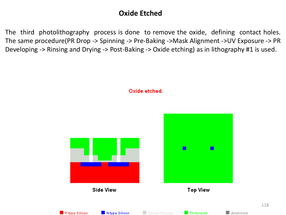#### **Oxide Etched**

The third photolithography process is done to remove the oxide, defining contact holes. The same procedure(PR Drop -> Spinning -> Pre-Baking ->Mask Alignment ->UV Exposure -> PR Developing -> Rinsing and Drying -> Post-Baking -> Oxide etching) as in lithography #1 is used.

Oxide etched.

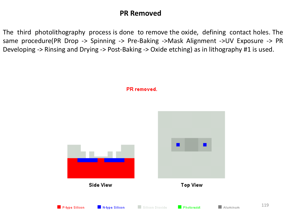#### **PR Removed**

The third photolithography process is done to remove the oxide, defining contact holes. The same procedure(PR Drop -> Spinning -> Pre-Baking ->Mask Alignment ->UV Exposure -> PR Developing -> Rinsing and Drying -> Post-Baking -> Oxide etching) as in lithography #1 is used.



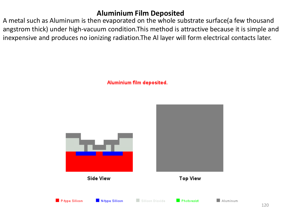#### **Aluminium Film Deposited**

A metal such as Aluminum is then evaporated on the whole substrate surface(a few thousand angstrom thick) under high-vacuum condition.This method is attractive because it is simple and inexpensive and produces no ionizing radiation.The Al layer will form electrical contacts later.

Aluminium film deposited.

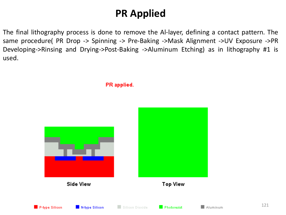### **PR Applied**

The final lithography process is done to remove the Al-layer, defining a contact pattern. The same procedure( PR Drop -> Spinning -> Pre-Baking ->Mask Alignment ->UV Exposure ->PR Developing->Rinsing and Drying->Post-Baking ->Aluminum Etching) as in lithography #1 is used.

PR applied.



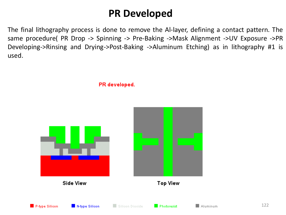### **PR Developed**

The final lithography process is done to remove the Al-layer, defining a contact pattern. The same procedure( PR Drop -> Spinning -> Pre-Baking ->Mask Alignment ->UV Exposure ->PR Developing->Rinsing and Drying->Post-Baking ->Aluminum Etching) as in lithography #1 is used.



Silicon Dioxide

N-type Silicon

**Photoresist** 

122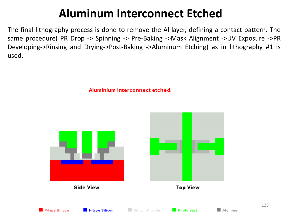### **Aluminum Interconnect Etched**

The final lithography process is done to remove the Al-layer, defining a contact pattern. The same procedure( PR Drop -> Spinning -> Pre-Baking ->Mask Alignment ->UV Exposure ->PR Developing->Rinsing and Drying->Post-Baking ->Aluminum Etching) as in lithography #1 is used.

Aluminium Interconnect etched.